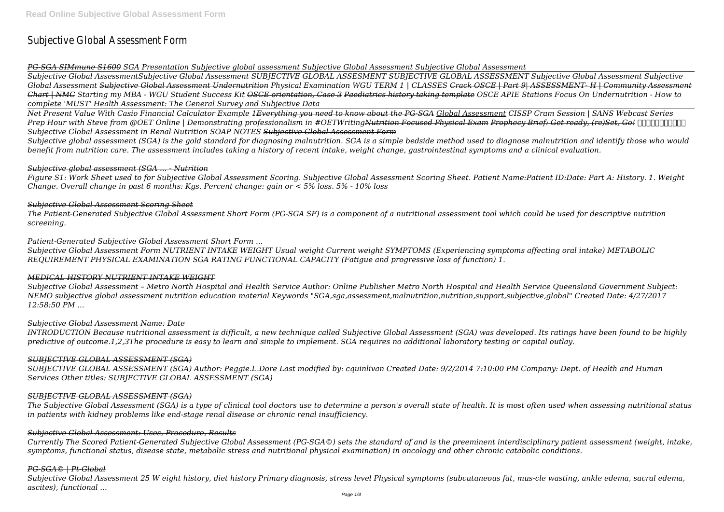# Subjective Global Assessment Form

*PG-SGA SIMmune S1600 SGA Presentation Subjective global assessment Subjective Global Assessment Subjective Global Assessment*

*Subjective Global AssessmentSubjective Global Assessment SUBJECTIVE GLOBAL ASSESMENT SUBJECTIVE GLOBAL ASSESSMENT Subjective Global Assessment Subjective Global Assessment Subjective Global Assessment Undernutrition Physical Examination WGU TERM 1 | CLASSES Crack OSCE | Part 9| ASSESSMENT- H | Community Assessment Chart | NMC Starting my MBA - WGU Student Success Kit OSCE orientation, Case 3 Paediatrics history taking template OSCE APIE Stations Focus On Undernutrition - How to complete 'MUST' Health Assessment: The General Survey and Subjective Data*

*Prep Hour with Steve from @OET Online | Demonstrating professionalism in #OETWriting<del>Nutrition Focused Physical Exam Prophecy Brief: Get ready, (re)Set, Go!</del>*  $\Box$ *Subjective Global Assessment in Renal Nutrition SOAP NOTES Subjective Global Assessment Form*

*Net Present Value With Casio Financial Calculator Example 1Everything you need to know about the PG-SGA Global Assessment CISSP Cram Session | SANS Webcast Series*

*Subjective global assessment (SGA) is the gold standard for diagnosing malnutrition. SGA is a simple bedside method used to diagnose malnutrition and identify those who would benefit from nutrition care. The assessment includes taking a history of recent intake, weight change, gastrointestinal symptoms and a clinical evaluation.*

#### *Subjective global assessment (SGA ... - Nutrition*

*Figure S1: Work Sheet used to for Subjective Global Assessment Scoring. Subjective Global Assessment Scoring Sheet. Patient Name:Patient ID:Date: Part A: History. 1. Weight Change. Overall change in past 6 months: Kgs. Percent change: gain or < 5% loss. 5% - 10% loss*

## *Subjective Global Assessment Scoring Sheet*

*The Patient-Generated Subjective Global Assessment Short Form (PG-SGA SF) is a component of a nutritional assessment tool which could be used for descriptive nutrition screening.*

## *Patient-Generated Subjective Global Assessment Short Form ...*

*Subjective Global Assessment Form NUTRIENT INTAKE WEIGHT Usual weight Current weight SYMPTOMS (Experiencing symptoms affecting oral intake) METABOLIC REQUIREMENT PHYSICAL EXAMINATION SGA RATING FUNCTIONAL CAPACITY (Fatigue and progressive loss of function) 1.*

#### *MEDICAL HISTORY NUTRIENT INTAKE WEIGHT*

*Subjective Global Assessment – Metro North Hospital and Health Service Author: Online Publisher Metro North Hospital and Health Service Queensland Government Subject: NEMO subjective global assessment nutrition education material Keywords "SGA,sga,assessment,malnutrition,nutrition,support,subjective,global" Created Date: 4/27/2017 12:58:50 PM ...*

#### *Subjective Global Assessment Name: Date*

*INTRODUCTION Because nutritional assessment is difficult, a new technique called Subjective Global Assessment (SGA) was developed. Its ratings have been found to be highly predictive of outcome.1,2,3The procedure is easy to learn and simple to implement. SGA requires no additional laboratory testing or capital outlay.*

#### *SUBJECTIVE GLOBAL ASSESSMENT (SGA)*

*SUBJECTIVE GLOBAL ASSESSMENT (SGA) Author: Peggie.L.Dore Last modified by: cquinlivan Created Date: 9/2/2014 7:10:00 PM Company: Dept. of Health and Human Services Other titles: SUBJECTIVE GLOBAL ASSESSMENT (SGA)*

#### *SUBJECTIVE GLOBAL ASSESSMENT (SGA)*

*The Subjective Global Assessment (SGA) is a type of clinical tool doctors use to determine a person's overall state of health. It is most often used when assessing nutritional status in patients with kidney problems like end-stage renal disease or chronic renal insufficiency.*

#### *Subjective Global Assessment: Uses, Procedure, Results*

*Currently The Scored Patient-Generated Subjective Global Assessment (PG-SGA©) sets the standard of and is the preeminent interdisciplinary patient assessment (weight, intake, symptoms, functional status, disease state, metabolic stress and nutritional physical examination) in oncology and other chronic catabolic conditions.*

#### *PG-SGA© | Pt-Global*

*Subjective Global Assessment 25 W eight history, diet history Primary diagnosis, stress level Physical symptoms (subcutaneous fat, mus-cle wasting, ankle edema, sacral edema, ascites), functional ...*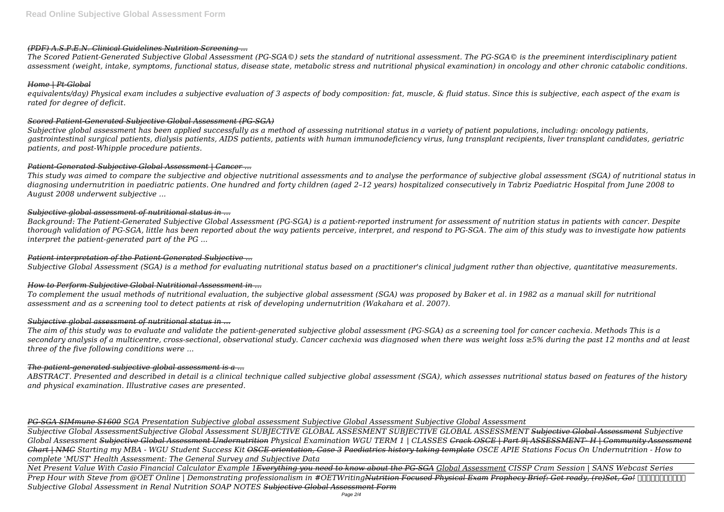#### *(PDF) A.S.P.E.N. Clinical Guidelines Nutrition Screening ...*

*The Scored Patient-Generated Subjective Global Assessment (PG-SGA©) sets the standard of nutritional assessment. The PG-SGA© is the preeminent interdisciplinary patient assessment (weight, intake, symptoms, functional status, disease state, metabolic stress and nutritional physical examination) in oncology and other chronic catabolic conditions.*

#### *Home | Pt-Global*

*equivalents/day) Physical exam includes a subjective evaluation of 3 aspects of body composition: fat, muscle, & fluid status. Since this is subjective, each aspect of the exam is rated for degree of deficit.*

#### *Scored Patient-Generated Subjective Global Assessment (PG-SGA)*

*Subjective global assessment has been applied successfully as a method of assessing nutritional status in a variety of patient populations, including: oncology patients, gastrointestinal surgical patients, dialysis patients, AIDS patients, patients with human immunodeficiency virus, lung transplant recipients, liver transplant candidates, geriatric patients, and post-Whipple procedure patients.*

## *Patient-Generated Subjective Global Assessment | Cancer ...*

*This study was aimed to compare the subjective and objective nutritional assessments and to analyse the performance of subjective global assessment (SGA) of nutritional status in diagnosing undernutrition in paediatric patients. One hundred and forty children (aged 2–12 years) hospitalized consecutively in Tabriz Paediatric Hospital from June 2008 to August 2008 underwent subjective ...*

## *Subjective global assessment of nutritional status in ...*

*Background: The Patient-Generated Subjective Global Assessment (PG-SGA) is a patient-reported instrument for assessment of nutrition status in patients with cancer. Despite thorough validation of PG-SGA, little has been reported about the way patients perceive, interpret, and respond to PG-SGA. The aim of this study was to investigate how patients interpret the patient-generated part of the PG ...*

#### *Patient interpretation of the Patient-Generated Subjective ...*

*Subjective Global Assessment (SGA) is a method for evaluating nutritional status based on a practitioner's clinical judgment rather than objective, quantitative measurements.*

# *How to Perform Subjective Global Nutritional Assessment in ...*

*To complement the usual methods of nutritional evaluation, the subjective global assessment (SGA) was proposed by Baker et al. in 1982 as a manual skill for nutritional assessment and as a screening tool to detect patients at risk of developing undernutrition (Wakahara et al. 2007).*

# *Subjective global assessment of nutritional status in ...*

*The aim of this study was to evaluate and validate the patient-generated subjective global assessment (PG-SGA) as a screening tool for cancer cachexia. Methods This is a secondary analysis of a multicentre, cross-sectional, observational study. Cancer cachexia was diagnosed when there was weight loss ≥5% during the past 12 months and at least three of the five following conditions were ...*

# *The patient-generated subjective global assessment is a ...*

*ABSTRACT. Presented and described in detail is a clinical technique called subjective global assessment (SGA), which assesses nutritional status based on features of the history and physical examination. Illustrative cases are presented.*

*PG-SGA SIMmune S1600 SGA Presentation Subjective global assessment Subjective Global Assessment Subjective Global Assessment*

*Subjective Global AssessmentSubjective Global Assessment SUBJECTIVE GLOBAL ASSESMENT SUBJECTIVE GLOBAL ASSESSMENT Subjective Global Assessment Subjective Global Assessment Subjective Global Assessment Undernutrition Physical Examination WGU TERM 1 | CLASSES Crack OSCE | Part 9| ASSESSMENT- H | Community Assessment Chart | NMC Starting my MBA - WGU Student Success Kit OSCE orientation, Case 3 Paediatrics history taking template OSCE APIE Stations Focus On Undernutrition - How to complete 'MUST' Health Assessment: The General Survey and Subjective Data*

*Net Present Value With Casio Financial Calculator Example 1Everything you need to know about the PG-SGA Global Assessment CISSP Cram Session | SANS Webcast Series Prep Hour with Steve from @OET Online | Demonstrating professionalism in #OETWritingNutrition Focused Physical Exam Prophecy Brief: Get ready, (re)Set, Go! Reficient Contently and Repressional in the State of the State Subjective Global Assessment in Renal Nutrition SOAP NOTES Subjective Global Assessment Form*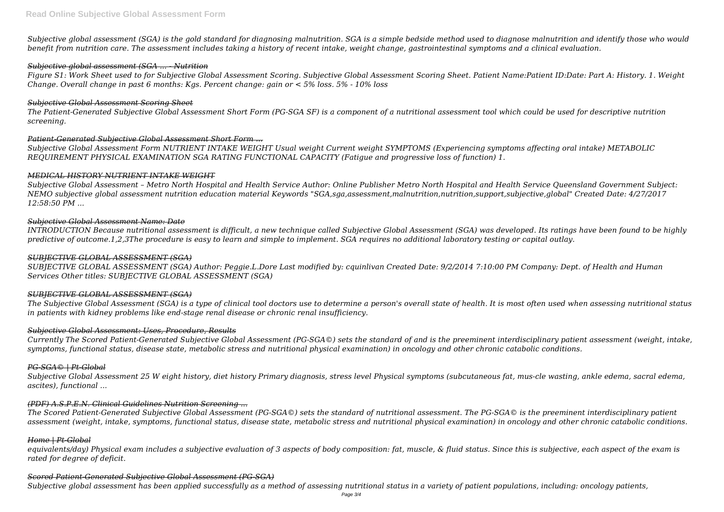*Subjective global assessment (SGA) is the gold standard for diagnosing malnutrition. SGA is a simple bedside method used to diagnose malnutrition and identify those who would benefit from nutrition care. The assessment includes taking a history of recent intake, weight change, gastrointestinal symptoms and a clinical evaluation.*

#### *Subjective global assessment (SGA ... - Nutrition*

*Figure S1: Work Sheet used to for Subjective Global Assessment Scoring. Subjective Global Assessment Scoring Sheet. Patient Name:Patient ID:Date: Part A: History. 1. Weight Change. Overall change in past 6 months: Kgs. Percent change: gain or < 5% loss. 5% - 10% loss*

#### *Subjective Global Assessment Scoring Sheet*

*The Patient-Generated Subjective Global Assessment Short Form (PG-SGA SF) is a component of a nutritional assessment tool which could be used for descriptive nutrition screening.*

## *Patient-Generated Subjective Global Assessment Short Form ...*

*Subjective Global Assessment Form NUTRIENT INTAKE WEIGHT Usual weight Current weight SYMPTOMS (Experiencing symptoms affecting oral intake) METABOLIC REQUIREMENT PHYSICAL EXAMINATION SGA RATING FUNCTIONAL CAPACITY (Fatigue and progressive loss of function) 1.*

## *MEDICAL HISTORY NUTRIENT INTAKE WEIGHT*

*Subjective Global Assessment – Metro North Hospital and Health Service Author: Online Publisher Metro North Hospital and Health Service Queensland Government Subject: NEMO subjective global assessment nutrition education material Keywords "SGA,sga,assessment,malnutrition,nutrition,support,subjective,global" Created Date: 4/27/2017 12:58:50 PM ...*

## *Subjective Global Assessment Name: Date*

*INTRODUCTION Because nutritional assessment is difficult, a new technique called Subjective Global Assessment (SGA) was developed. Its ratings have been found to be highly predictive of outcome.1,2,3The procedure is easy to learn and simple to implement. SGA requires no additional laboratory testing or capital outlay.*

#### *SUBJECTIVE GLOBAL ASSESSMENT (SGA)*

*SUBJECTIVE GLOBAL ASSESSMENT (SGA) Author: Peggie.L.Dore Last modified by: cquinlivan Created Date: 9/2/2014 7:10:00 PM Company: Dept. of Health and Human Services Other titles: SUBJECTIVE GLOBAL ASSESSMENT (SGA)*

#### *SUBJECTIVE GLOBAL ASSESSMENT (SGA)*

*The Subjective Global Assessment (SGA) is a type of clinical tool doctors use to determine a person's overall state of health. It is most often used when assessing nutritional status in patients with kidney problems like end-stage renal disease or chronic renal insufficiency.*

#### *Subjective Global Assessment: Uses, Procedure, Results*

*Currently The Scored Patient-Generated Subjective Global Assessment (PG-SGA©) sets the standard of and is the preeminent interdisciplinary patient assessment (weight, intake, symptoms, functional status, disease state, metabolic stress and nutritional physical examination) in oncology and other chronic catabolic conditions.*

# *PG-SGA© | Pt-Global*

*Subjective Global Assessment 25 W eight history, diet history Primary diagnosis, stress level Physical symptoms (subcutaneous fat, mus-cle wasting, ankle edema, sacral edema, ascites), functional ...*

# *(PDF) A.S.P.E.N. Clinical Guidelines Nutrition Screening ...*

*The Scored Patient-Generated Subjective Global Assessment (PG-SGA©) sets the standard of nutritional assessment. The PG-SGA© is the preeminent interdisciplinary patient assessment (weight, intake, symptoms, functional status, disease state, metabolic stress and nutritional physical examination) in oncology and other chronic catabolic conditions.*

#### *Home | Pt-Global*

*equivalents/day) Physical exam includes a subjective evaluation of 3 aspects of body composition: fat, muscle, & fluid status. Since this is subjective, each aspect of the exam is rated for degree of deficit.*

# *Scored Patient-Generated Subjective Global Assessment (PG-SGA)*

*Subjective global assessment has been applied successfully as a method of assessing nutritional status in a variety of patient populations, including: oncology patients,*